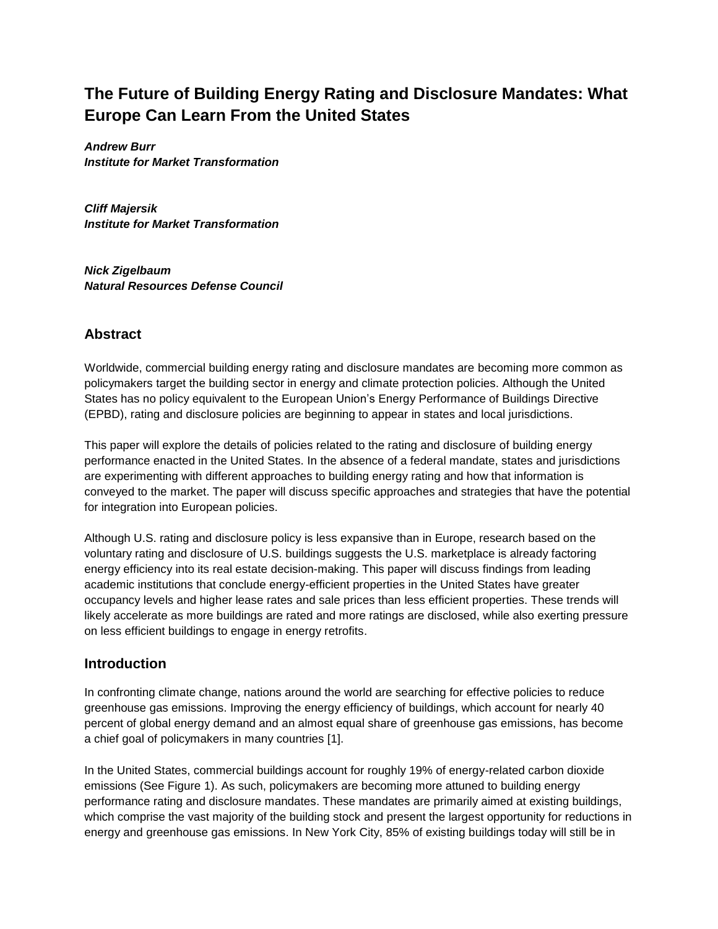# **The Future of Building Energy Rating and Disclosure Mandates: What Europe Can Learn From the United States**

*Andrew Burr Institute for Market Transformation*

*Cliff Majersik Institute for Market Transformation*

*Nick Zigelbaum Natural Resources Defense Council*

### **Abstract**

Worldwide, commercial building energy rating and disclosure mandates are becoming more common as policymakers target the building sector in energy and climate protection policies. Although the United States has no policy equivalent to the European Union's Energy Performance of Buildings Directive (EPBD), rating and disclosure policies are beginning to appear in states and local jurisdictions.

This paper will explore the details of policies related to the rating and disclosure of building energy performance enacted in the United States. In the absence of a federal mandate, states and jurisdictions are experimenting with different approaches to building energy rating and how that information is conveyed to the market. The paper will discuss specific approaches and strategies that have the potential for integration into European policies.

Although U.S. rating and disclosure policy is less expansive than in Europe, research based on the voluntary rating and disclosure of U.S. buildings suggests the U.S. marketplace is already factoring energy efficiency into its real estate decision-making. This paper will discuss findings from leading academic institutions that conclude energy-efficient properties in the United States have greater occupancy levels and higher lease rates and sale prices than less efficient properties. These trends will likely accelerate as more buildings are rated and more ratings are disclosed, while also exerting pressure on less efficient buildings to engage in energy retrofits.

### **Introduction**

In confronting climate change, nations around the world are searching for effective policies to reduce greenhouse gas emissions. Improving the energy efficiency of buildings, which account for nearly 40 percent of global energy demand and an almost equal share of greenhouse gas emissions, has become a chief goal of policymakers in many countries [1].

In the United States, commercial buildings account for roughly 19% of energy-related carbon dioxide emissions (See Figure 1). As such, policymakers are becoming more attuned to building energy performance rating and disclosure mandates. These mandates are primarily aimed at existing buildings, which comprise the vast majority of the building stock and present the largest opportunity for reductions in energy and greenhouse gas emissions. In New York City, 85% of existing buildings today will still be in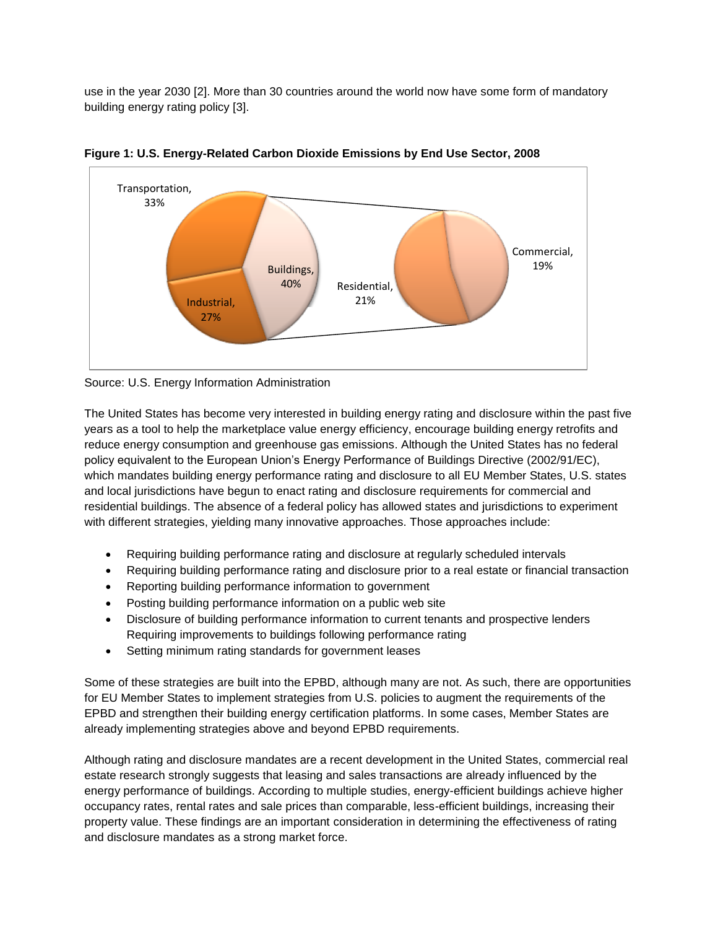use in the year 2030 [2]. More than 30 countries around the world now have some form of mandatory building energy rating policy [3].



**Figure 1: U.S. Energy-Related Carbon Dioxide Emissions by End Use Sector, 2008**

Source: U.S. Energy Information Administration

The United States has become very interested in building energy rating and disclosure within the past five years as a tool to help the marketplace value energy efficiency, encourage building energy retrofits and reduce energy consumption and greenhouse gas emissions. Although the United States has no federal policy equivalent to the European Union's Energy Performance of Buildings Directive (2002/91/EC), which mandates building energy performance rating and disclosure to all EU Member States, U.S. states and local jurisdictions have begun to enact rating and disclosure requirements for commercial and residential buildings. The absence of a federal policy has allowed states and jurisdictions to experiment with different strategies, yielding many innovative approaches. Those approaches include:

- Requiring building performance rating and disclosure at regularly scheduled intervals
- Requiring building performance rating and disclosure prior to a real estate or financial transaction
- Reporting building performance information to government
- Posting building performance information on a public web site
- Disclosure of building performance information to current tenants and prospective lenders Requiring improvements to buildings following performance rating
- Setting minimum rating standards for government leases

Some of these strategies are built into the EPBD, although many are not. As such, there are opportunities for EU Member States to implement strategies from U.S. policies to augment the requirements of the EPBD and strengthen their building energy certification platforms. In some cases, Member States are already implementing strategies above and beyond EPBD requirements.

Although rating and disclosure mandates are a recent development in the United States, commercial real estate research strongly suggests that leasing and sales transactions are already influenced by the energy performance of buildings. According to multiple studies, energy-efficient buildings achieve higher occupancy rates, rental rates and sale prices than comparable, less-efficient buildings, increasing their property value. These findings are an important consideration in determining the effectiveness of rating and disclosure mandates as a strong market force.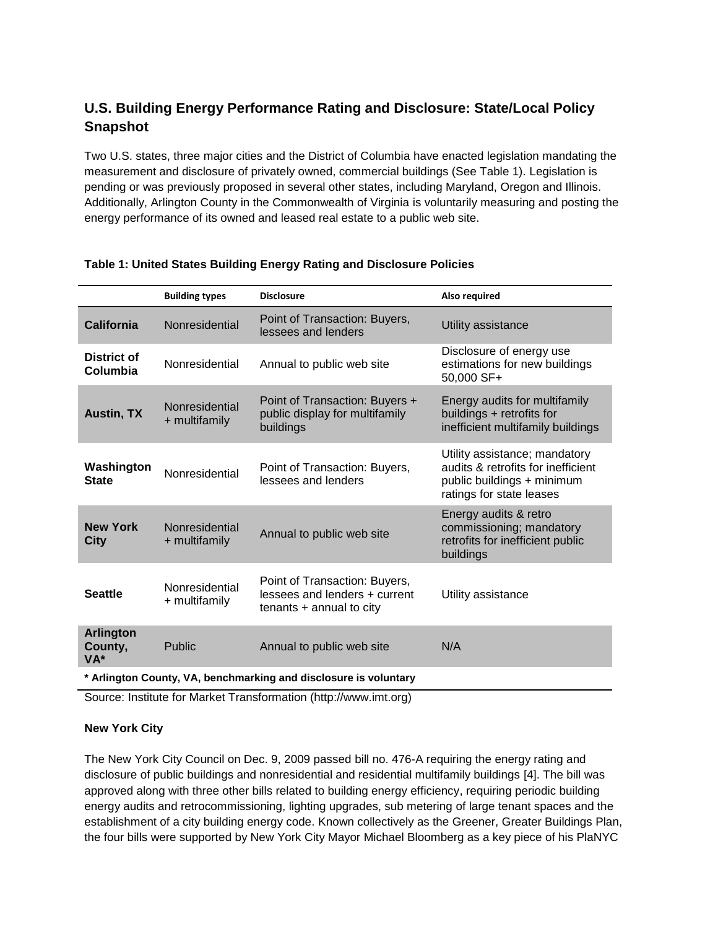## **U.S. Building Energy Performance Rating and Disclosure: State/Local Policy Snapshot**

Two U.S. states, three major cities and the District of Columbia have enacted legislation mandating the measurement and disclosure of privately owned, commercial buildings (See Table 1). Legislation is pending or was previously proposed in several other states, including Maryland, Oregon and Illinois. Additionally, Arlington County in the Commonwealth of Virginia is voluntarily measuring and posting the energy performance of its owned and leased real estate to a public web site.

|                                                                  | <b>Building types</b>           | <b>Disclosure</b>                                                                               | Also required                                                                                                                 |
|------------------------------------------------------------------|---------------------------------|-------------------------------------------------------------------------------------------------|-------------------------------------------------------------------------------------------------------------------------------|
| <b>California</b>                                                | Nonresidential                  | Point of Transaction: Buyers,<br>lessees and lenders                                            | Utility assistance                                                                                                            |
| District of<br>Columbia                                          | Nonresidential                  | Annual to public web site                                                                       | Disclosure of energy use<br>estimations for new buildings<br>50,000 SF+                                                       |
| <b>Austin, TX</b>                                                | Nonresidential<br>+ multifamily | Point of Transaction: Buyers +<br>public display for multifamily<br>buildings                   | Energy audits for multifamily<br>buildings + retrofits for<br>inefficient multifamily buildings                               |
| Washington<br><b>State</b>                                       | Nonresidential                  | Point of Transaction: Buyers,<br>lessees and lenders                                            | Utility assistance; mandatory<br>audits & retrofits for inefficient<br>public buildings + minimum<br>ratings for state leases |
| <b>New York</b><br>City                                          | Nonresidential<br>+ multifamily | Annual to public web site                                                                       | Energy audits & retro<br>commissioning; mandatory<br>retrofits for inefficient public<br>buildings                            |
| <b>Seattle</b>                                                   | Nonresidential<br>+ multifamily | Point of Transaction: Buyers,<br>lessees and lenders + current<br>$t$ enants $+$ annual to city | Utility assistance                                                                                                            |
| <b>Arlington</b><br>County,<br>VA*                               | Public                          | Annual to public web site                                                                       | N/A                                                                                                                           |
| * Arlington County, VA, benchmarking and disclosure is voluntary |                                 |                                                                                                 |                                                                                                                               |

### **Table 1: United States Building Energy Rating and Disclosure Policies**

Source: Institute for Market Transformation (http://www.imt.org)

### **New York City**

The New York City Council on Dec. 9, 2009 passed bill no. 476-A requiring the energy rating and disclosure of public buildings and nonresidential and residential multifamily buildings [4]. The bill was approved along with three other bills related to building energy efficiency, requiring periodic building energy audits and retrocommissioning, lighting upgrades, sub metering of large tenant spaces and the establishment of a city building energy code. Known collectively as the Greener, Greater Buildings Plan, the four bills were supported by New York City Mayor Michael Bloomberg as a key piece of his PlaNYC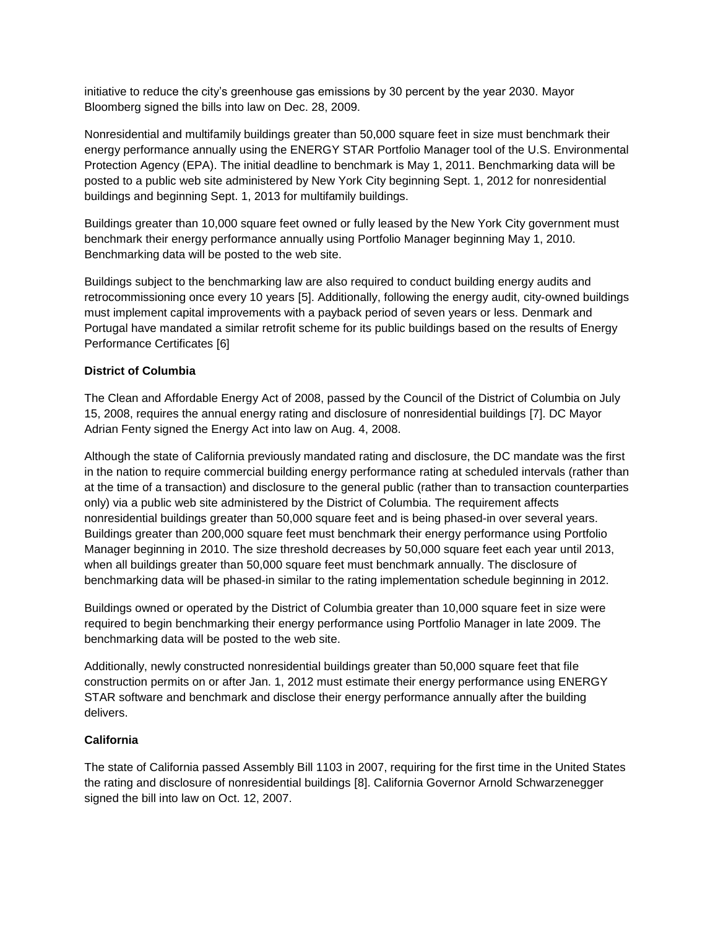initiative to reduce the city's greenhouse gas emissions by 30 percent by the year 2030. Mayor Bloomberg signed the bills into law on Dec. 28, 2009.

Nonresidential and multifamily buildings greater than 50,000 square feet in size must benchmark their energy performance annually using the ENERGY STAR Portfolio Manager tool of the U.S. Environmental Protection Agency (EPA). The initial deadline to benchmark is May 1, 2011. Benchmarking data will be posted to a public web site administered by New York City beginning Sept. 1, 2012 for nonresidential buildings and beginning Sept. 1, 2013 for multifamily buildings.

Buildings greater than 10,000 square feet owned or fully leased by the New York City government must benchmark their energy performance annually using Portfolio Manager beginning May 1, 2010. Benchmarking data will be posted to the web site.

Buildings subject to the benchmarking law are also required to conduct building energy audits and retrocommissioning once every 10 years [5]. Additionally, following the energy audit, city-owned buildings must implement capital improvements with a payback period of seven years or less. Denmark and Portugal have mandated a similar retrofit scheme for its public buildings based on the results of Energy Performance Certificates [6]

### **District of Columbia**

The Clean and Affordable Energy Act of 2008, passed by the Council of the District of Columbia on July 15, 2008, requires the annual energy rating and disclosure of nonresidential buildings [7]. DC Mayor Adrian Fenty signed the Energy Act into law on Aug. 4, 2008.

Although the state of California previously mandated rating and disclosure, the DC mandate was the first in the nation to require commercial building energy performance rating at scheduled intervals (rather than at the time of a transaction) and disclosure to the general public (rather than to transaction counterparties only) via a public web site administered by the District of Columbia. The requirement affects nonresidential buildings greater than 50,000 square feet and is being phased-in over several years. Buildings greater than 200,000 square feet must benchmark their energy performance using Portfolio Manager beginning in 2010. The size threshold decreases by 50,000 square feet each year until 2013, when all buildings greater than 50,000 square feet must benchmark annually. The disclosure of benchmarking data will be phased-in similar to the rating implementation schedule beginning in 2012.

Buildings owned or operated by the District of Columbia greater than 10,000 square feet in size were required to begin benchmarking their energy performance using Portfolio Manager in late 2009. The benchmarking data will be posted to the web site.

Additionally, newly constructed nonresidential buildings greater than 50,000 square feet that file construction permits on or after Jan. 1, 2012 must estimate their energy performance using ENERGY STAR software and benchmark and disclose their energy performance annually after the building delivers.

### **California**

The state of California passed Assembly Bill 1103 in 2007, requiring for the first time in the United States the rating and disclosure of nonresidential buildings [8]. California Governor Arnold Schwarzenegger signed the bill into law on Oct. 12, 2007.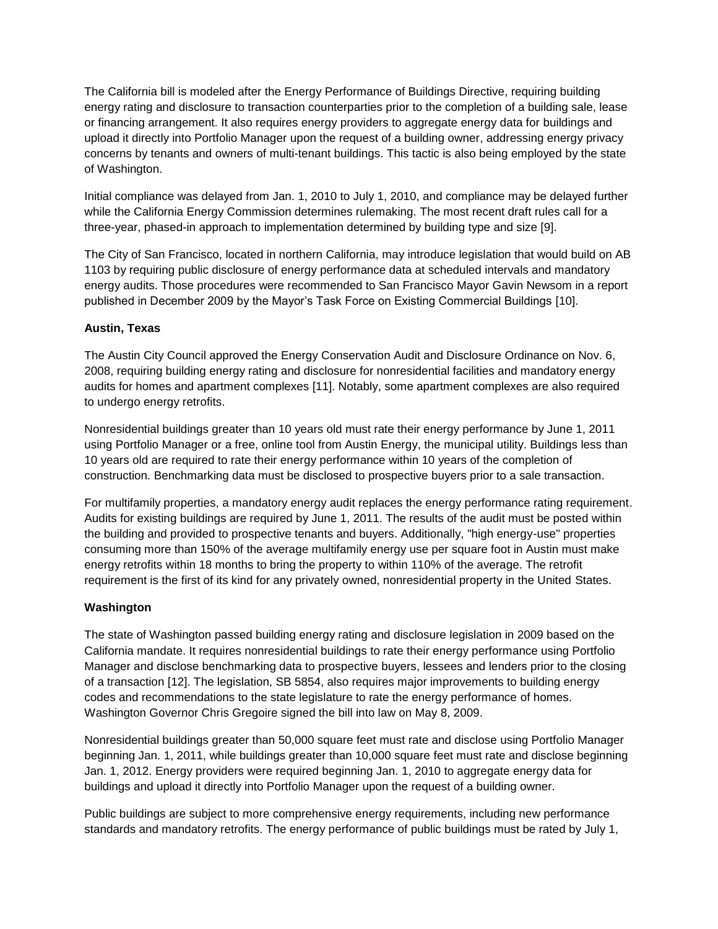The California bill is modeled after the Energy Performance of Buildings Directive, requiring building energy rating and disclosure to transaction counterparties prior to the completion of a building sale, lease or financing arrangement. It also requires energy providers to aggregate energy data for buildings and upload it directly into Portfolio Manager upon the request of a building owner, addressing energy privacy concerns by tenants and owners of multi-tenant buildings. This tactic is also being employed by the state of Washington.

Initial compliance was delayed from Jan. 1, 2010 to July 1, 2010, and compliance may be delayed further while the California Energy Commission determines rulemaking. The most recent draft rules call for a three-year, phased-in approach to implementation determined by building type and size [9].

The City of San Francisco, located in northern California, may introduce legislation that would build on AB 1103 by requiring public disclosure of energy performance data at scheduled intervals and mandatory energy audits. Those procedures were recommended to San Francisco Mayor Gavin Newsom in a report published in December 2009 by the Mayor's Task Force on Existing Commercial Buildings [10].

### **Austin, Texas**

The Austin City Council approved the Energy Conservation Audit and Disclosure Ordinance on Nov. 6, 2008, requiring building energy rating and disclosure for nonresidential facilities and mandatory energy audits for homes and apartment complexes [11]. Notably, some apartment complexes are also required to undergo energy retrofits.

Nonresidential buildings greater than 10 years old must rate their energy performance by June 1, 2011 using Portfolio Manager or a free, online tool from Austin Energy, the municipal utility. Buildings less than 10 years old are required to rate their energy performance within 10 years of the completion of construction. Benchmarking data must be disclosed to prospective buyers prior to a sale transaction.

For multifamily properties, a mandatory energy audit replaces the energy performance rating requirement. Audits for existing buildings are required by June 1, 2011. The results of the audit must be posted within the building and provided to prospective tenants and buyers. Additionally, "high energy-use" properties consuming more than 150% of the average multifamily energy use per square foot in Austin must make energy retrofits within 18 months to bring the property to within 110% of the average. The retrofit requirement is the first of its kind for any privately owned, nonresidential property in the United States.

### **Washington**

The state of Washington passed building energy rating and disclosure legislation in 2009 based on the California mandate. It requires nonresidential buildings to rate their energy performance using Portfolio Manager and disclose benchmarking data to prospective buyers, lessees and lenders prior to the closing of a transaction [12]. The legislation, SB 5854, also requires major improvements to building energy codes and recommendations to the state legislature to rate the energy performance of homes. Washington Governor Chris Gregoire signed the bill into law on May 8, 2009.

Nonresidential buildings greater than 50,000 square feet must rate and disclose using Portfolio Manager beginning Jan. 1, 2011, while buildings greater than 10,000 square feet must rate and disclose beginning Jan. 1, 2012. Energy providers were required beginning Jan. 1, 2010 to aggregate energy data for buildings and upload it directly into Portfolio Manager upon the request of a building owner.

Public buildings are subject to more comprehensive energy requirements, including new performance standards and mandatory retrofits. The energy performance of public buildings must be rated by July 1,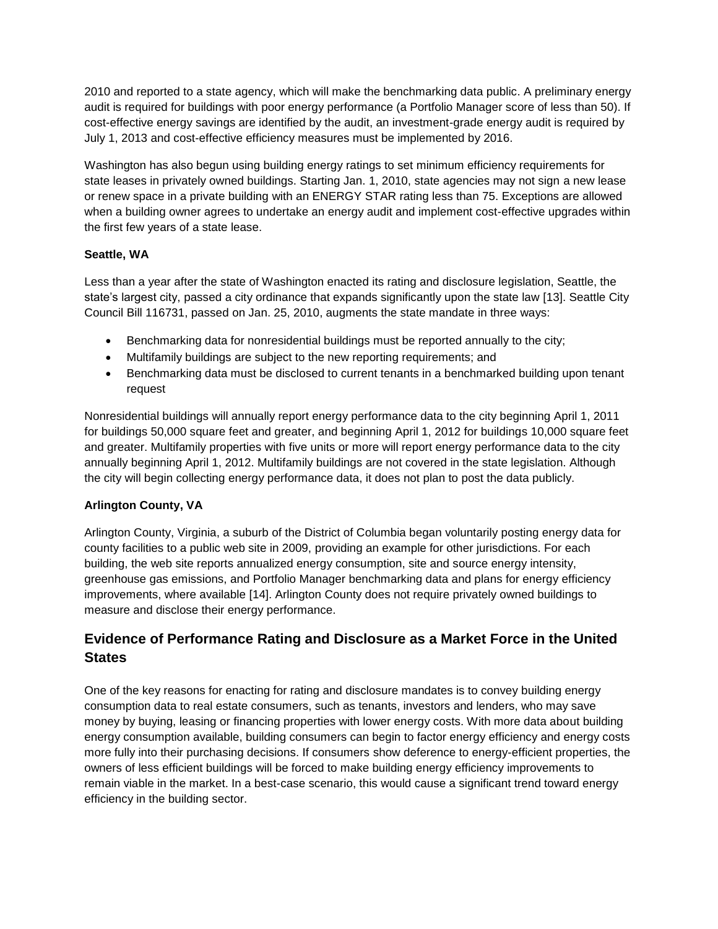2010 and reported to a state agency, which will make the benchmarking data public. A preliminary energy audit is required for buildings with poor energy performance (a Portfolio Manager score of less than 50). If cost-effective energy savings are identified by the audit, an investment-grade energy audit is required by July 1, 2013 and cost-effective efficiency measures must be implemented by 2016.

Washington has also begun using building energy ratings to set minimum efficiency requirements for state leases in privately owned buildings. Starting Jan. 1, 2010, state agencies may not sign a new lease or renew space in a private building with an ENERGY STAR rating less than 75. Exceptions are allowed when a building owner agrees to undertake an energy audit and implement cost-effective upgrades within the first few years of a state lease.

### **Seattle, WA**

Less than a year after the state of Washington enacted its rating and disclosure legislation, Seattle, the state's largest city, passed a city ordinance that expands significantly upon the state law [13]. Seattle City Council Bill 116731, passed on Jan. 25, 2010, augments the state mandate in three ways:

- Benchmarking data for nonresidential buildings must be reported annually to the city;
- Multifamily buildings are subject to the new reporting requirements; and
- Benchmarking data must be disclosed to current tenants in a benchmarked building upon tenant request

Nonresidential buildings will annually report energy performance data to the city beginning April 1, 2011 for buildings 50,000 square feet and greater, and beginning April 1, 2012 for buildings 10,000 square feet and greater. Multifamily properties with five units or more will report energy performance data to the city annually beginning April 1, 2012. Multifamily buildings are not covered in the state legislation. Although the city will begin collecting energy performance data, it does not plan to post the data publicly.

### **Arlington County, VA**

Arlington County, Virginia, a suburb of the District of Columbia began voluntarily posting energy data for county facilities to a public web site in 2009, providing an example for other jurisdictions. For each building, the web site reports annualized energy consumption, site and source energy intensity, greenhouse gas emissions, and Portfolio Manager benchmarking data and plans for energy efficiency improvements, where available [14]. Arlington County does not require privately owned buildings to measure and disclose their energy performance.

## **Evidence of Performance Rating and Disclosure as a Market Force in the United States**

One of the key reasons for enacting for rating and disclosure mandates is to convey building energy consumption data to real estate consumers, such as tenants, investors and lenders, who may save money by buying, leasing or financing properties with lower energy costs. With more data about building energy consumption available, building consumers can begin to factor energy efficiency and energy costs more fully into their purchasing decisions. If consumers show deference to energy-efficient properties, the owners of less efficient buildings will be forced to make building energy efficiency improvements to remain viable in the market. In a best-case scenario, this would cause a significant trend toward energy efficiency in the building sector.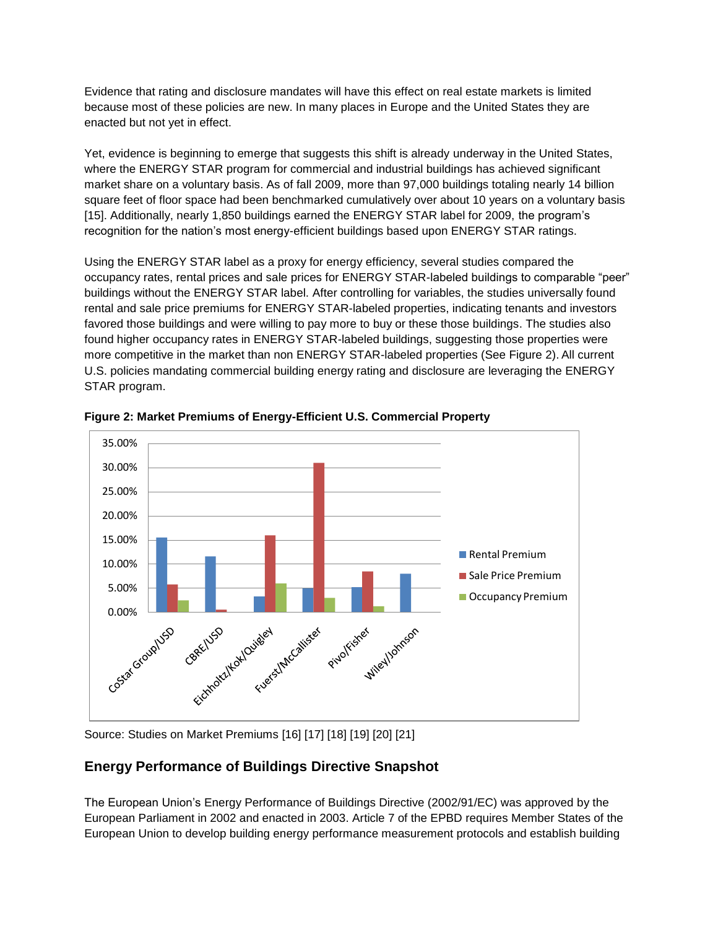Evidence that rating and disclosure mandates will have this effect on real estate markets is limited because most of these policies are new. In many places in Europe and the United States they are enacted but not yet in effect.

Yet, evidence is beginning to emerge that suggests this shift is already underway in the United States, where the ENERGY STAR program for commercial and industrial buildings has achieved significant market share on a voluntary basis. As of fall 2009, more than 97,000 buildings totaling nearly 14 billion square feet of floor space had been benchmarked cumulatively over about 10 years on a voluntary basis [15]. Additionally, nearly 1,850 buildings earned the ENERGY STAR label for 2009, the program's recognition for the nation's most energy-efficient buildings based upon ENERGY STAR ratings.

Using the ENERGY STAR label as a proxy for energy efficiency, several studies compared the occupancy rates, rental prices and sale prices for ENERGY STAR-labeled buildings to comparable "peer" buildings without the ENERGY STAR label. After controlling for variables, the studies universally found rental and sale price premiums for ENERGY STAR-labeled properties, indicating tenants and investors favored those buildings and were willing to pay more to buy or these those buildings. The studies also found higher occupancy rates in ENERGY STAR-labeled buildings, suggesting those properties were more competitive in the market than non ENERGY STAR-labeled properties (See Figure 2). All current U.S. policies mandating commercial building energy rating and disclosure are leveraging the ENERGY STAR program.



**Figure 2: Market Premiums of Energy-Efficient U.S. Commercial Property**

Source: Studies on Market Premiums [16] [17] [18] [19] [20] [21]

## **Energy Performance of Buildings Directive Snapshot**

The European Union's Energy Performance of Buildings Directive (2002/91/EC) was approved by the European Parliament in 2002 and enacted in 2003. Article 7 of the EPBD requires Member States of the European Union to develop building energy performance measurement protocols and establish building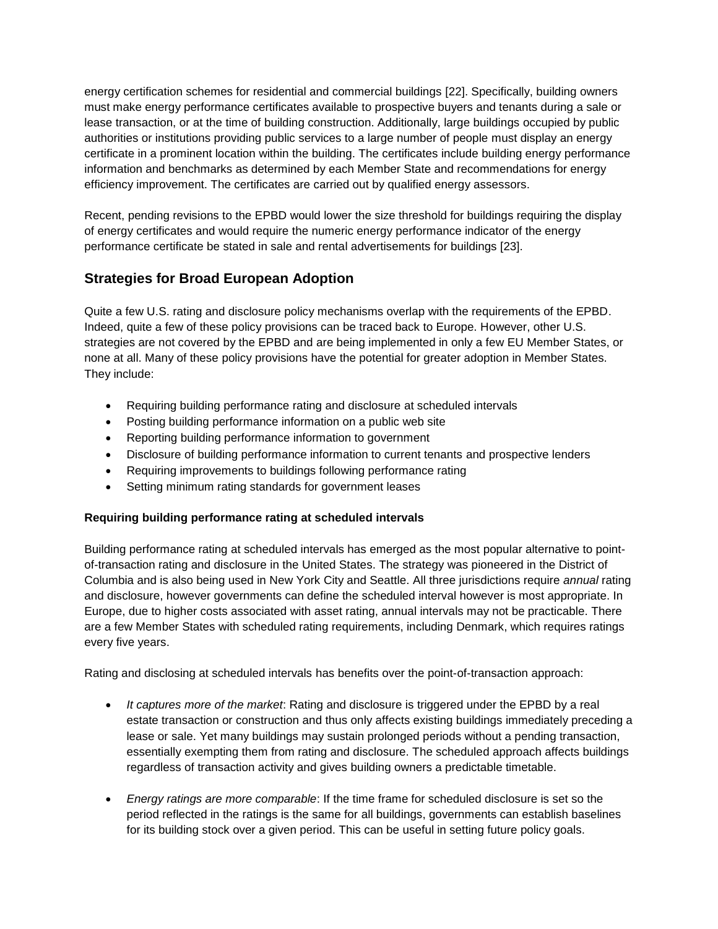energy certification schemes for residential and commercial buildings [22]. Specifically, building owners must make energy performance certificates available to prospective buyers and tenants during a sale or lease transaction, or at the time of building construction. Additionally, large buildings occupied by public authorities or institutions providing public services to a large number of people must display an energy certificate in a prominent location within the building. The certificates include building energy performance information and benchmarks as determined by each Member State and recommendations for energy efficiency improvement. The certificates are carried out by qualified energy assessors.

Recent, pending revisions to the EPBD would lower the size threshold for buildings requiring the display of energy certificates and would require the numeric energy performance indicator of the energy performance certificate be stated in sale and rental advertisements for buildings [23].

## **Strategies for Broad European Adoption**

Quite a few U.S. rating and disclosure policy mechanisms overlap with the requirements of the EPBD. Indeed, quite a few of these policy provisions can be traced back to Europe. However, other U.S. strategies are not covered by the EPBD and are being implemented in only a few EU Member States, or none at all. Many of these policy provisions have the potential for greater adoption in Member States. They include:

- Requiring building performance rating and disclosure at scheduled intervals
- Posting building performance information on a public web site
- Reporting building performance information to government
- Disclosure of building performance information to current tenants and prospective lenders
- Requiring improvements to buildings following performance rating
- Setting minimum rating standards for government leases

### **Requiring building performance rating at scheduled intervals**

Building performance rating at scheduled intervals has emerged as the most popular alternative to pointof-transaction rating and disclosure in the United States. The strategy was pioneered in the District of Columbia and is also being used in New York City and Seattle. All three jurisdictions require *annual* rating and disclosure, however governments can define the scheduled interval however is most appropriate. In Europe, due to higher costs associated with asset rating, annual intervals may not be practicable. There are a few Member States with scheduled rating requirements, including Denmark, which requires ratings every five years.

Rating and disclosing at scheduled intervals has benefits over the point-of-transaction approach:

- *It captures more of the market*: Rating and disclosure is triggered under the EPBD by a real estate transaction or construction and thus only affects existing buildings immediately preceding a lease or sale. Yet many buildings may sustain prolonged periods without a pending transaction, essentially exempting them from rating and disclosure. The scheduled approach affects buildings regardless of transaction activity and gives building owners a predictable timetable.
- *Energy ratings are more comparable*: If the time frame for scheduled disclosure is set so the period reflected in the ratings is the same for all buildings, governments can establish baselines for its building stock over a given period. This can be useful in setting future policy goals.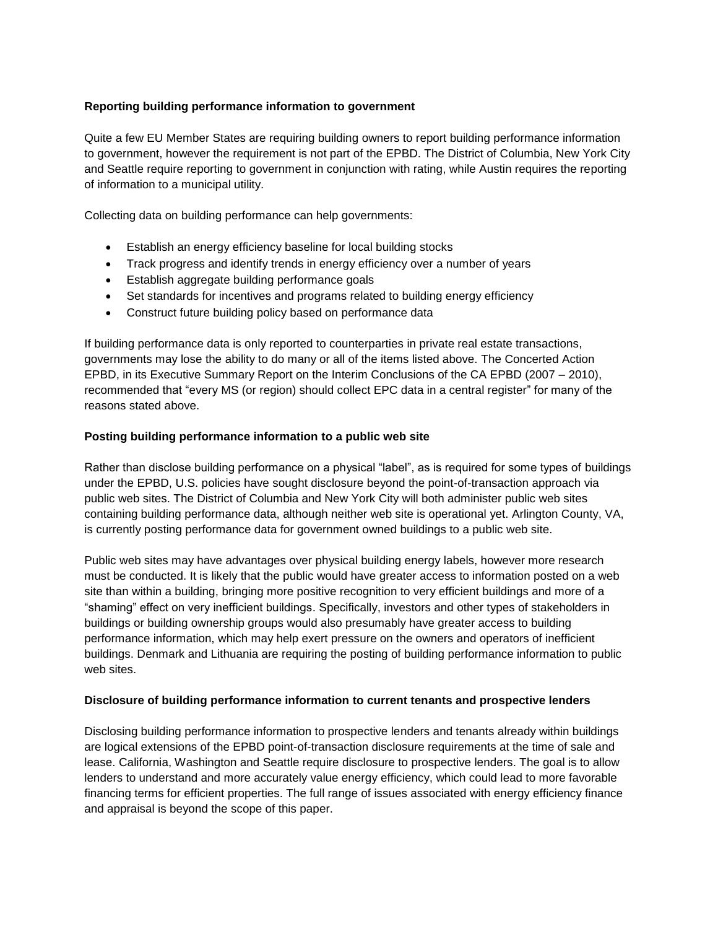### **Reporting building performance information to government**

Quite a few EU Member States are requiring building owners to report building performance information to government, however the requirement is not part of the EPBD. The District of Columbia, New York City and Seattle require reporting to government in conjunction with rating, while Austin requires the reporting of information to a municipal utility.

Collecting data on building performance can help governments:

- Establish an energy efficiency baseline for local building stocks
- Track progress and identify trends in energy efficiency over a number of years
- Establish aggregate building performance goals
- Set standards for incentives and programs related to building energy efficiency
- Construct future building policy based on performance data

If building performance data is only reported to counterparties in private real estate transactions, governments may lose the ability to do many or all of the items listed above. The Concerted Action EPBD, in its Executive Summary Report on the Interim Conclusions of the CA EPBD (2007 – 2010), recommended that "every MS (or region) should collect EPC data in a central register" for many of the reasons stated above.

### **Posting building performance information to a public web site**

Rather than disclose building performance on a physical "label", as is required for some types of buildings under the EPBD, U.S. policies have sought disclosure beyond the point-of-transaction approach via public web sites. The District of Columbia and New York City will both administer public web sites containing building performance data, although neither web site is operational yet. Arlington County, VA, is currently posting performance data for government owned buildings to a public web site.

Public web sites may have advantages over physical building energy labels, however more research must be conducted. It is likely that the public would have greater access to information posted on a web site than within a building, bringing more positive recognition to very efficient buildings and more of a "shaming" effect on very inefficient buildings. Specifically, investors and other types of stakeholders in buildings or building ownership groups would also presumably have greater access to building performance information, which may help exert pressure on the owners and operators of inefficient buildings. Denmark and Lithuania are requiring the posting of building performance information to public web sites.

### **Disclosure of building performance information to current tenants and prospective lenders**

Disclosing building performance information to prospective lenders and tenants already within buildings are logical extensions of the EPBD point-of-transaction disclosure requirements at the time of sale and lease. California, Washington and Seattle require disclosure to prospective lenders. The goal is to allow lenders to understand and more accurately value energy efficiency, which could lead to more favorable financing terms for efficient properties. The full range of issues associated with energy efficiency finance and appraisal is beyond the scope of this paper.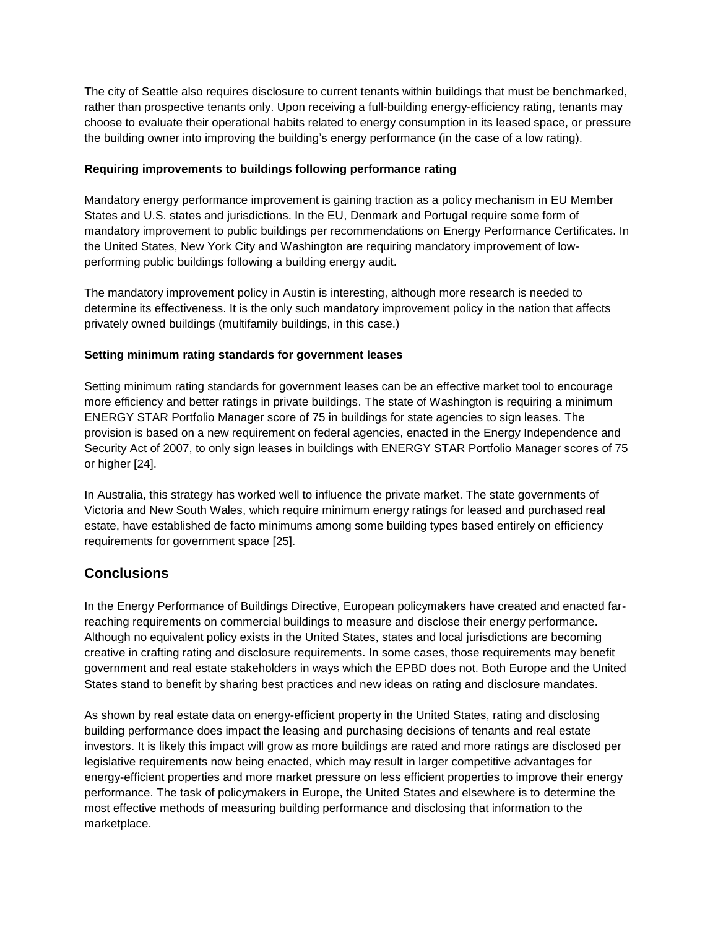The city of Seattle also requires disclosure to current tenants within buildings that must be benchmarked, rather than prospective tenants only. Upon receiving a full-building energy-efficiency rating, tenants may choose to evaluate their operational habits related to energy consumption in its leased space, or pressure the building owner into improving the building's energy performance (in the case of a low rating).

### **Requiring improvements to buildings following performance rating**

Mandatory energy performance improvement is gaining traction as a policy mechanism in EU Member States and U.S. states and jurisdictions. In the EU, Denmark and Portugal require some form of mandatory improvement to public buildings per recommendations on Energy Performance Certificates. In the United States, New York City and Washington are requiring mandatory improvement of lowperforming public buildings following a building energy audit.

The mandatory improvement policy in Austin is interesting, although more research is needed to determine its effectiveness. It is the only such mandatory improvement policy in the nation that affects privately owned buildings (multifamily buildings, in this case.)

### **Setting minimum rating standards for government leases**

Setting minimum rating standards for government leases can be an effective market tool to encourage more efficiency and better ratings in private buildings. The state of Washington is requiring a minimum ENERGY STAR Portfolio Manager score of 75 in buildings for state agencies to sign leases. The provision is based on a new requirement on federal agencies, enacted in the Energy Independence and Security Act of 2007, to only sign leases in buildings with ENERGY STAR Portfolio Manager scores of 75 or higher [24].

In Australia, this strategy has worked well to influence the private market. The state governments of Victoria and New South Wales, which require minimum energy ratings for leased and purchased real estate, have established de facto minimums among some building types based entirely on efficiency requirements for government space [25].

### **Conclusions**

In the Energy Performance of Buildings Directive, European policymakers have created and enacted farreaching requirements on commercial buildings to measure and disclose their energy performance. Although no equivalent policy exists in the United States, states and local jurisdictions are becoming creative in crafting rating and disclosure requirements. In some cases, those requirements may benefit government and real estate stakeholders in ways which the EPBD does not. Both Europe and the United States stand to benefit by sharing best practices and new ideas on rating and disclosure mandates.

As shown by real estate data on energy-efficient property in the United States, rating and disclosing building performance does impact the leasing and purchasing decisions of tenants and real estate investors. It is likely this impact will grow as more buildings are rated and more ratings are disclosed per legislative requirements now being enacted, which may result in larger competitive advantages for energy-efficient properties and more market pressure on less efficient properties to improve their energy performance. The task of policymakers in Europe, the United States and elsewhere is to determine the most effective methods of measuring building performance and disclosing that information to the marketplace.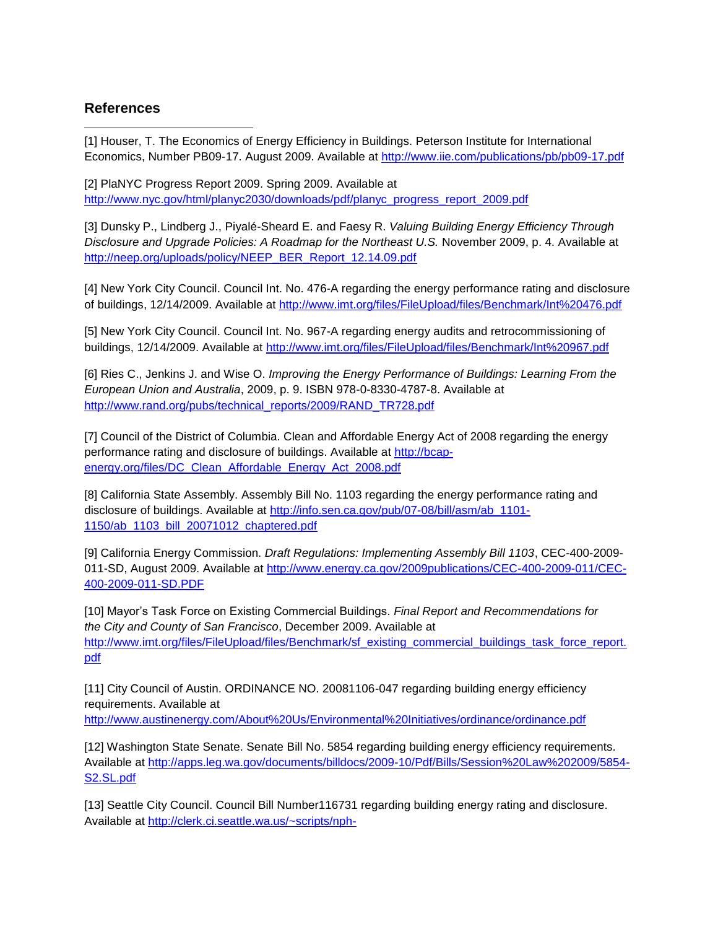### **References**

l [1] Houser, T. The Economics of Energy Efficiency in Buildings. Peterson Institute for International Economics, Number PB09-17. August 2009. Available at<http://www.iie.com/publications/pb/pb09-17.pdf>

[2] PlaNYC Progress Report 2009. Spring 2009. Available at [http://www.nyc.gov/html/planyc2030/downloads/pdf/planyc\\_progress\\_report\\_2009.pdf](http://www.nyc.gov/html/planyc2030/downloads/pdf/planyc_progress_report_2009.pdf)

[3] Dunsky P., Lindberg J., Piyalé-Sheard E. and Faesy R. *Valuing Building Energy Efficiency Through Disclosure and Upgrade Policies: A Roadmap for the Northeast U.S.* November 2009, p. 4. Available at [http://neep.org/uploads/policy/NEEP\\_BER\\_Report\\_12.14.09.pdf](http://neep.org/uploads/policy/NEEP_BER_Report_12.14.09.pdf)

[4] New York City Council. Council Int. No. 476-A regarding the energy performance rating and disclosure of buildings, 12/14/2009. Available at<http://www.imt.org/files/FileUpload/files/Benchmark/Int%20476.pdf>

[5] New York City Council. Council Int. No. 967-A regarding energy audits and retrocommissioning of buildings, 12/14/2009. Available at<http://www.imt.org/files/FileUpload/files/Benchmark/Int%20967.pdf>

[6] Ries C., Jenkins J. and Wise O. *Improving the Energy Performance of Buildings: Learning From the European Union and Australia*, 2009, p. 9. ISBN 978-0-8330-4787-8. Available at [http://www.rand.org/pubs/technical\\_reports/2009/RAND\\_TR728.pdf](http://www.rand.org/pubs/technical_reports/2009/RAND_TR728.pdf)

[7] Council of the District of Columbia. Clean and Affordable Energy Act of 2008 regarding the energy performance rating and disclosure of buildings. Available at [http://bcap](http://bcap-energy.org/files/DC_Clean_Affordable_Energy_Act_2008.pdf)[energy.org/files/DC\\_Clean\\_Affordable\\_Energy\\_Act\\_2008.pdf](http://bcap-energy.org/files/DC_Clean_Affordable_Energy_Act_2008.pdf)

[8] California State Assembly. Assembly Bill No. 1103 regarding the energy performance rating and disclosure of buildings. Available at [http://info.sen.ca.gov/pub/07-08/bill/asm/ab\\_1101-](http://info.sen.ca.gov/pub/07-08/bill/asm/ab_1101-1150/ab_1103_bill_20071012_chaptered.pdf) [1150/ab\\_1103\\_bill\\_20071012\\_chaptered.pdf](http://info.sen.ca.gov/pub/07-08/bill/asm/ab_1101-1150/ab_1103_bill_20071012_chaptered.pdf)

[9] California Energy Commission. *Draft Regulations: Implementing Assembly Bill 1103*, CEC-400-2009- 011-SD, August 2009. Available at [http://www.energy.ca.gov/2009publications/CEC-400-2009-011/CEC-](http://www.energy.ca.gov/2009publications/CEC-400-2009-011/CEC-400-2009-011-SD.PDF)[400-2009-011-SD.PDF](http://www.energy.ca.gov/2009publications/CEC-400-2009-011/CEC-400-2009-011-SD.PDF)

[10] Mayor's Task Force on Existing Commercial Buildings. *Final Report and Recommendations for the City and County of San Francisco*, December 2009. Available at [http://www.imt.org/files/FileUpload/files/Benchmark/sf\\_existing\\_commercial\\_buildings\\_task\\_force\\_report.](http://www.imt.org/files/FileUpload/files/Benchmark/sf_existing_commercial_buildings_task_force_report.pdf) [pdf](http://www.imt.org/files/FileUpload/files/Benchmark/sf_existing_commercial_buildings_task_force_report.pdf)

[11] City Council of Austin. ORDINANCE NO. 20081106-047 regarding building energy efficiency requirements. Available at

<http://www.austinenergy.com/About%20Us/Environmental%20Initiatives/ordinance/ordinance.pdf>

[12] Washington State Senate. Senate Bill No. 5854 regarding building energy efficiency requirements. Available at [http://apps.leg.wa.gov/documents/billdocs/2009-10/Pdf/Bills/Session%20Law%202009/5854-](http://apps.leg.wa.gov/documents/billdocs/2009-10/Pdf/Bills/Session%20Law%202009/5854-S2.SL.pdf) [S2.SL.pdf](http://apps.leg.wa.gov/documents/billdocs/2009-10/Pdf/Bills/Session%20Law%202009/5854-S2.SL.pdf)

[13] Seattle City Council. Council Bill Number116731 regarding building energy rating and disclosure. Available at [http://clerk.ci.seattle.wa.us/~scripts/nph-](http://clerk.ci.seattle.wa.us/~scripts/nph-brs.exe?s1=&s3=116731&s4=&s2=&s5=&Sect4=AND&l=20&Sect2=THESON&Sect3=PLURON&Sect5=CBORY&Sect6=HITOFF&d=ORDF&p=1&u=%2F%7Epublic%2Fcbory.htm&r=1&f=G)